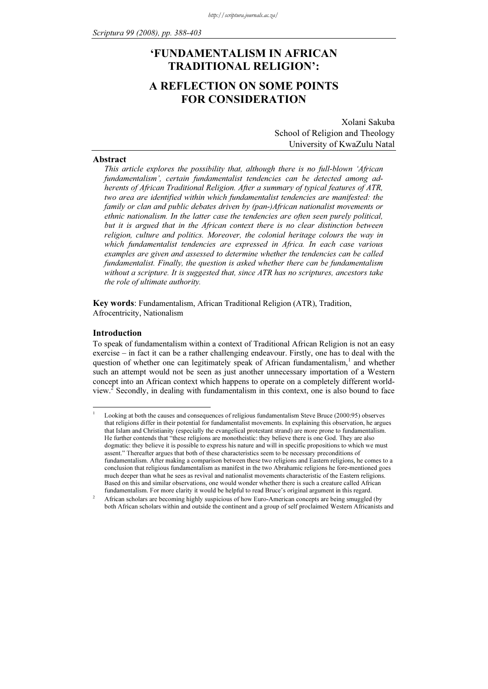# 'FUNDAMENTALISM IN AFRICAN TRADITIONAL RELIGION':

## A REFLECTION ON SOME POINTS FOR CONSIDERATION

Xolani Sakuba School of Religion and Theology University of KwaZulu Natal

### Abstract

This article explores the possibility that, although there is no full-blown 'African fundamentalism', certain fundamentalist tendencies can be detected among adherents of African Traditional Religion. After a summary of typical features of ATR, two area are identified within which fundamentalist tendencies are manifested: the family or clan and public debates driven by (pan-)African nationalist movements or ethnic nationalism. In the latter case the tendencies are often seen purely political, but it is argued that in the African context there is no clear distinction between religion, culture and politics. Moreover, the colonial heritage colours the way in which fundamentalist tendencies are expressed in Africa. In each case various examples are given and assessed to determine whether the tendencies can be called fundamentalist. Finally, the question is asked whether there can be fundamentalism without a scripture. It is suggested that, since ATR has no scriptures, ancestors take the role of ultimate authority.

Key words: Fundamentalism, African Traditional Religion (ATR), Tradition, Afrocentricity, Nationalism

#### Introduction

 $\overline{a}$ 1

To speak of fundamentalism within a context of Traditional African Religion is not an easy exercise – in fact it can be a rather challenging endeavour. Firstly, one has to deal with the question of whether one can legitimately speak of African fundamentalism,<sup>1</sup> and whether such an attempt would not be seen as just another unnecessary importation of a Western concept into an African context which happens to operate on a completely different worldview.<sup>2</sup> Secondly, in dealing with fundamentalism in this context, one is also bound to face

Looking at both the causes and consequences of religious fundamentalism Steve Bruce (2000:95) observes that religions differ in their potential for fundamentalist movements. In explaining this observation, he argues that Islam and Christianity (especially the evangelical protestant strand) are more prone to fundamentalism. He further contends that "these religions are monotheistic: they believe there is one God. They are also dogmatic: they believe it is possible to express his nature and will in specific propositions to which we must assent." Thereafter argues that both of these characteristics seem to be necessary preconditions of fundamentalism. After making a comparison between these two religions and Eastern religions, he comes to a conclusion that religious fundamentalism as manifest in the two Abrahamic religions he fore-mentioned goes much deeper than what he sees as revival and nationalist movements characteristic of the Eastern religions. Based on this and similar observations, one would wonder whether there is such a creature called African fundamentalism. For more clarity it would be helpful to read Bruce's original argument in this regard.

 $\overline{2}$  African scholars are becoming highly suspicious of how Euro-American concepts are being smuggled (by both African scholars within and outside the continent and a group of self proclaimed Western Africanists and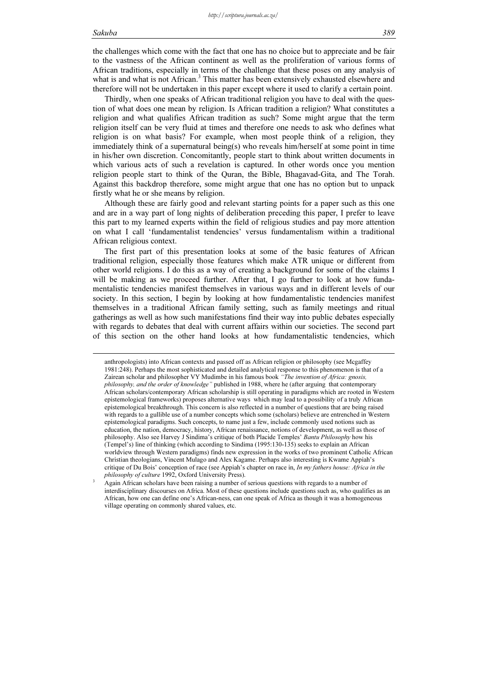$\overline{a}$ 

3

the challenges which come with the fact that one has no choice but to appreciate and be fair to the vastness of the African continent as well as the proliferation of various forms of African traditions, especially in terms of the challenge that these poses on any analysis of what is and what is not African.<sup>3</sup> This matter has been extensively exhausted elsewhere and therefore will not be undertaken in this paper except where it used to clarify a certain point.

Thirdly, when one speaks of African traditional religion you have to deal with the question of what does one mean by religion. Is African tradition a religion? What constitutes a religion and what qualifies African tradition as such? Some might argue that the term religion itself can be very fluid at times and therefore one needs to ask who defines what religion is on what basis? For example, when most people think of a religion, they immediately think of a supernatural being(s) who reveals him/herself at some point in time in his/her own discretion. Concomitantly, people start to think about written documents in which various acts of such a revelation is captured. In other words once you mention religion people start to think of the Quran, the Bible, Bhagavad-Gita, and The Torah. Against this backdrop therefore, some might argue that one has no option but to unpack firstly what he or she means by religion.

Although these are fairly good and relevant starting points for a paper such as this one and are in a way part of long nights of deliberation preceding this paper, I prefer to leave this part to my learned experts within the field of religious studies and pay more attention on what I call 'fundamentalist tendencies' versus fundamentalism within a traditional African religious context.

The first part of this presentation looks at some of the basic features of African traditional religion, especially those features which make ATR unique or different from other world religions. I do this as a way of creating a background for some of the claims I will be making as we proceed further. After that, I go further to look at how fundamentalistic tendencies manifest themselves in various ways and in different levels of our society. In this section, I begin by looking at how fundamentalistic tendencies manifest themselves in a traditional African family setting, such as family meetings and ritual gatherings as well as how such manifestations find their way into public debates especially with regards to debates that deal with current affairs within our societies. The second part of this section on the other hand looks at how fundamentalistic tendencies, which

anthropologists) into African contexts and passed off as African religion or philosophy (see Mcgaffey 1981:248). Perhaps the most sophisticated and detailed analytical response to this phenomenon is that of a Zairean scholar and philosopher VY Mudimbe in his famous book "The invention of Africa: gnosis, philosophy, and the order of knowledge" published in 1988, where he (after arguing that contemporary African scholars/contemporary African scholarship is still operating in paradigms which are rooted in Western epistemological frameworks) proposes alternative ways which may lead to a possibility of a truly African epistemological breakthrough. This concern is also reflected in a number of questions that are being raised with regards to a gullible use of a number concepts which some (scholars) believe are entrenched in Western epistemological paradigms. Such concepts, to name just a few, include commonly used notions such as education, the nation, democracy, history, African renaissance, notions of development, as well as those of philosophy. Also see Harvey J Sindima's critique of both Placide Temples' Bantu Philosophy how his (Tempel's) line of thinking (which according to Sindima (1995:130-135) seeks to explain an African worldview through Western paradigms) finds new expression in the works of two prominent Catholic African Christian theologians, Vincent Mulago and Alex Kagame. Perhaps also interesting is Kwame Appiah's critique of Du Bois' conception of race (see Appiah's chapter on race in, In my fathers house: Africa in the philosophy of culture 1992, Oxford University Press).

Again African scholars have been raising a number of serious questions with regards to a number of interdisciplinary discourses on Africa. Most of these questions include questions such as, who qualifies as an African, how one can define one's African-ness, can one speak of Africa as though it was a homogeneous village operating on commonly shared values, etc.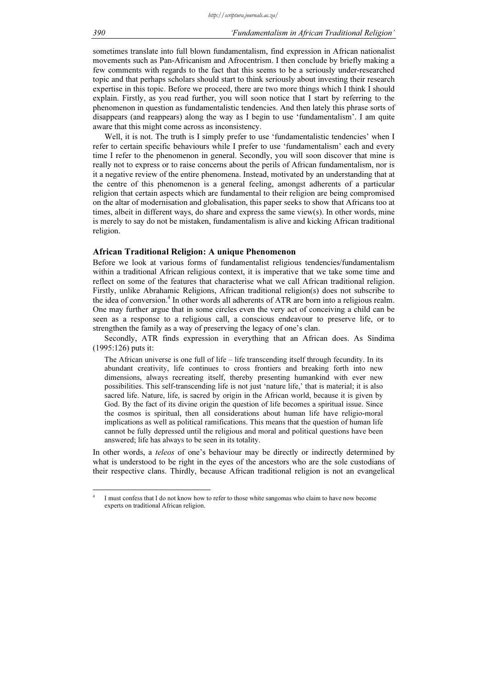sometimes translate into full blown fundamentalism, find expression in African nationalist movements such as Pan-Africanism and Afrocentrism. I then conclude by briefly making a few comments with regards to the fact that this seems to be a seriously under-researched topic and that perhaps scholars should start to think seriously about investing their research expertise in this topic. Before we proceed, there are two more things which I think I should explain. Firstly, as you read further, you will soon notice that I start by referring to the phenomenon in question as fundamentalistic tendencies. And then lately this phrase sorts of disappears (and reappears) along the way as I begin to use 'fundamentalism'. I am quite aware that this might come across as inconsistency.

Well, it is not. The truth is I simply prefer to use 'fundamentalistic tendencies' when I refer to certain specific behaviours while I prefer to use 'fundamentalism' each and every time I refer to the phenomenon in general. Secondly, you will soon discover that mine is really not to express or to raise concerns about the perils of African fundamentalism, nor is it a negative review of the entire phenomena. Instead, motivated by an understanding that at the centre of this phenomenon is a general feeling, amongst adherents of a particular religion that certain aspects which are fundamental to their religion are being compromised on the altar of modernisation and globalisation, this paper seeks to show that Africans too at times, albeit in different ways, do share and express the same view(s). In other words, mine is merely to say do not be mistaken, fundamentalism is alive and kicking African traditional religion.

#### African Traditional Religion: A unique Phenomenon

Before we look at various forms of fundamentalist religious tendencies/fundamentalism within a traditional African religious context, it is imperative that we take some time and reflect on some of the features that characterise what we call African traditional religion. Firstly, unlike Abrahamic Religions, African traditional religion(s) does not subscribe to the idea of conversion.<sup>4</sup> In other words all adherents of ATR are born into a religious realm. One may further argue that in some circles even the very act of conceiving a child can be seen as a response to a religious call, a conscious endeavour to preserve life, or to strengthen the family as a way of preserving the legacy of one's clan.

Secondly, ATR finds expression in everything that an African does. As Sindima (1995:126) puts it:

The African universe is one full of life – life transcending itself through fecundity. In its abundant creativity, life continues to cross frontiers and breaking forth into new dimensions, always recreating itself, thereby presenting humankind with ever new possibilities. This self-transcending life is not just 'nature life,' that is material; it is also sacred life. Nature, life, is sacred by origin in the African world, because it is given by God. By the fact of its divine origin the question of life becomes a spiritual issue. Since the cosmos is spiritual, then all considerations about human life have religio-moral implications as well as political ramifications. This means that the question of human life cannot be fully depressed until the religious and moral and political questions have been answered; life has always to be seen in its totality.

In other words, a *teleos* of one's behaviour may be directly or indirectly determined by what is understood to be right in the eyes of the ancestors who are the sole custodians of their respective clans. Thirdly, because African traditional religion is not an evangelical

<sup>4</sup> I must confess that I do not know how to refer to those white sangomas who claim to have now become experts on traditional African religion.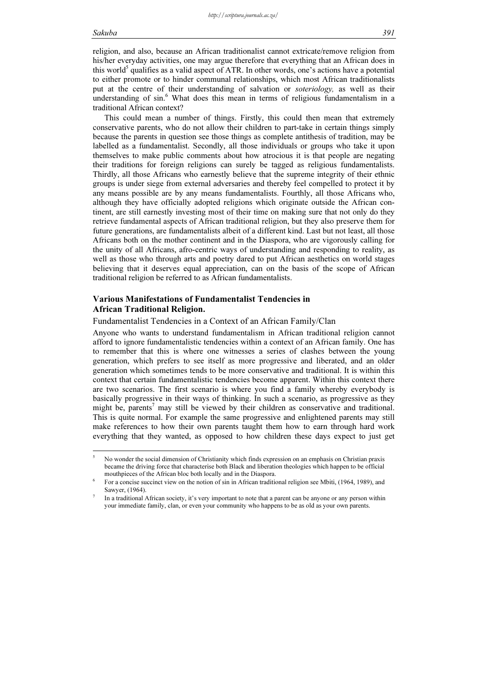#### Sakuba 391 | 391 | 392 | 393 | 393 | 393 | 393 | 393 | 393 | 394 | 395 | 396 | 397 | 398 | 398 | 398 | 398 | 39

 $\overline{a}$ 

This could mean a number of things. Firstly, this could then mean that extremely conservative parents, who do not allow their children to part-take in certain things simply because the parents in question see those things as complete antithesis of tradition, may be labelled as a fundamentalist. Secondly, all those individuals or groups who take it upon themselves to make public comments about how atrocious it is that people are negating their traditions for foreign religions can surely be tagged as religious fundamentalists. Thirdly, all those Africans who earnestly believe that the supreme integrity of their ethnic groups is under siege from external adversaries and thereby feel compelled to protect it by any means possible are by any means fundamentalists. Fourthly, all those Africans who, although they have officially adopted religions which originate outside the African continent, are still earnestly investing most of their time on making sure that not only do they retrieve fundamental aspects of African traditional religion, but they also preserve them for future generations, are fundamentalists albeit of a different kind. Last but not least, all those Africans both on the mother continent and in the Diaspora, who are vigorously calling for the unity of all Africans, afro-centric ways of understanding and responding to reality, as well as those who through arts and poetry dared to put African aesthetics on world stages believing that it deserves equal appreciation, can on the basis of the scope of African traditional religion be referred to as African fundamentalists.

## Various Manifestations of Fundamentalist Tendencies in African Traditional Religion.

#### Fundamentalist Tendencies in a Context of an African Family/Clan

Anyone who wants to understand fundamentalism in African traditional religion cannot afford to ignore fundamentalistic tendencies within a context of an African family. One has to remember that this is where one witnesses a series of clashes between the young generation, which prefers to see itself as more progressive and liberated, and an older generation which sometimes tends to be more conservative and traditional. It is within this context that certain fundamentalistic tendencies become apparent. Within this context there are two scenarios. The first scenario is where you find a family whereby everybody is basically progressive in their ways of thinking. In such a scenario, as progressive as they might be, parents<sup>7</sup> may still be viewed by their children as conservative and traditional. This is quite normal. For example the same progressive and enlightened parents may still make references to how their own parents taught them how to earn through hard work everything that they wanted, as opposed to how children these days expect to just get

<sup>5</sup> No wonder the social dimension of Christianity which finds expression on an emphasis on Christian praxis became the driving force that characterise both Black and liberation theologies which happen to be official mouthpieces of the African bloc both locally and in the Diaspora.

<sup>6</sup> For a concise succinct view on the notion of sin in African traditional religion see Mbiti, (1964, 1989), and Sawyer, (1964).

<sup>7</sup> In a traditional African society, it's very important to note that a parent can be anyone or any person within your immediate family, clan, or even your community who happens to be as old as your own parents.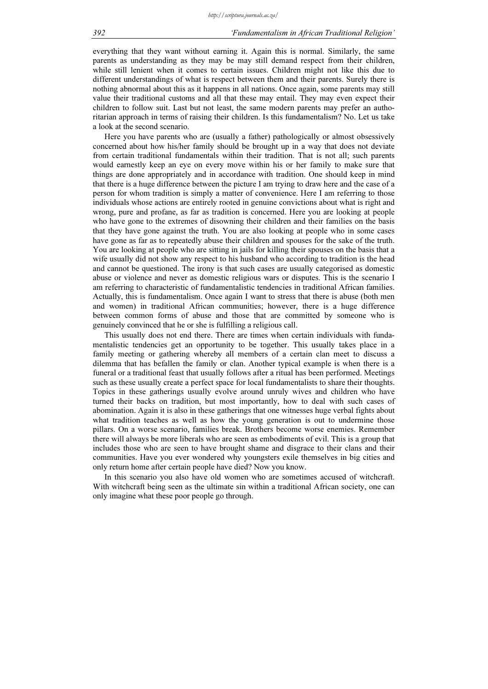everything that they want without earning it. Again this is normal. Similarly, the same parents as understanding as they may be may still demand respect from their children, while still lenient when it comes to certain issues. Children might not like this due to different understandings of what is respect between them and their parents. Surely there is nothing abnormal about this as it happens in all nations. Once again, some parents may still value their traditional customs and all that these may entail. They may even expect their children to follow suit. Last but not least, the same modern parents may prefer an authoritarian approach in terms of raising their children. Is this fundamentalism? No. Let us take a look at the second scenario.

Here you have parents who are (usually a father) pathologically or almost obsessively concerned about how his/her family should be brought up in a way that does not deviate from certain traditional fundamentals within their tradition. That is not all; such parents would earnestly keep an eye on every move within his or her family to make sure that things are done appropriately and in accordance with tradition. One should keep in mind that there is a huge difference between the picture I am trying to draw here and the case of a person for whom tradition is simply a matter of convenience. Here I am referring to those individuals whose actions are entirely rooted in genuine convictions about what is right and wrong, pure and profane, as far as tradition is concerned. Here you are looking at people who have gone to the extremes of disowning their children and their families on the basis that they have gone against the truth. You are also looking at people who in some cases have gone as far as to repeatedly abuse their children and spouses for the sake of the truth. You are looking at people who are sitting in jails for killing their spouses on the basis that a wife usually did not show any respect to his husband who according to tradition is the head and cannot be questioned. The irony is that such cases are usually categorised as domestic abuse or violence and never as domestic religious wars or disputes. This is the scenario I am referring to characteristic of fundamentalistic tendencies in traditional African families. Actually, this is fundamentalism. Once again I want to stress that there is abuse (both men and women) in traditional African communities; however, there is a huge difference between common forms of abuse and those that are committed by someone who is genuinely convinced that he or she is fulfilling a religious call.

This usually does not end there. There are times when certain individuals with fundamentalistic tendencies get an opportunity to be together. This usually takes place in a family meeting or gathering whereby all members of a certain clan meet to discuss a dilemma that has befallen the family or clan. Another typical example is when there is a funeral or a traditional feast that usually follows after a ritual has been performed. Meetings such as these usually create a perfect space for local fundamentalists to share their thoughts. Topics in these gatherings usually evolve around unruly wives and children who have turned their backs on tradition, but most importantly, how to deal with such cases of abomination. Again it is also in these gatherings that one witnesses huge verbal fights about what tradition teaches as well as how the young generation is out to undermine those pillars. On a worse scenario, families break. Brothers become worse enemies. Remember there will always be more liberals who are seen as embodiments of evil. This is a group that includes those who are seen to have brought shame and disgrace to their clans and their communities. Have you ever wondered why youngsters exile themselves in big cities and only return home after certain people have died? Now you know.

In this scenario you also have old women who are sometimes accused of witchcraft. With witchcraft being seen as the ultimate sin within a traditional African society, one can only imagine what these poor people go through.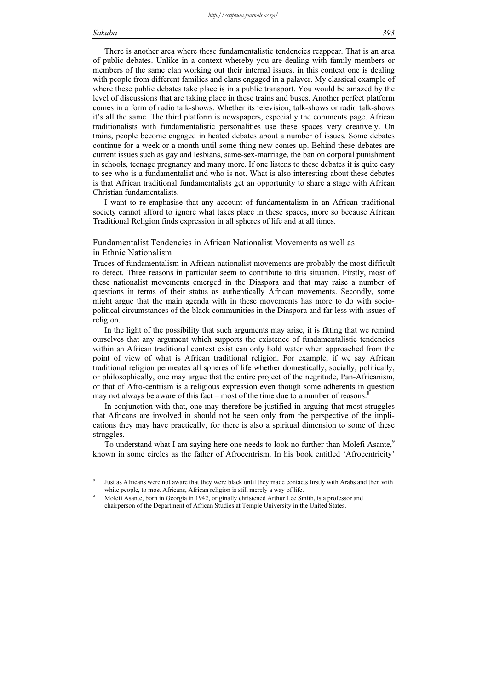$\overline{a}$ 

There is another area where these fundamentalistic tendencies reappear. That is an area of public debates. Unlike in a context whereby you are dealing with family members or members of the same clan working out their internal issues, in this context one is dealing with people from different families and clans engaged in a palaver. My classical example of where these public debates take place is in a public transport. You would be amazed by the level of discussions that are taking place in these trains and buses. Another perfect platform comes in a form of radio talk-shows. Whether its television, talk-shows or radio talk-shows it's all the same. The third platform is newspapers, especially the comments page. African traditionalists with fundamentalistic personalities use these spaces very creatively. On trains, people become engaged in heated debates about a number of issues. Some debates continue for a week or a month until some thing new comes up. Behind these debates are current issues such as gay and lesbians, same-sex-marriage, the ban on corporal punishment in schools, teenage pregnancy and many more. If one listens to these debates it is quite easy to see who is a fundamentalist and who is not. What is also interesting about these debates is that African traditional fundamentalists get an opportunity to share a stage with African Christian fundamentalists.

I want to re-emphasise that any account of fundamentalism in an African traditional society cannot afford to ignore what takes place in these spaces, more so because African Traditional Religion finds expression in all spheres of life and at all times.

Fundamentalist Tendencies in African Nationalist Movements as well as in Ethnic Nationalism

Traces of fundamentalism in African nationalist movements are probably the most difficult to detect. Three reasons in particular seem to contribute to this situation. Firstly, most of these nationalist movements emerged in the Diaspora and that may raise a number of questions in terms of their status as authentically African movements. Secondly, some might argue that the main agenda with in these movements has more to do with sociopolitical circumstances of the black communities in the Diaspora and far less with issues of religion.

In the light of the possibility that such arguments may arise, it is fitting that we remind ourselves that any argument which supports the existence of fundamentalistic tendencies within an African traditional context exist can only hold water when approached from the point of view of what is African traditional religion. For example, if we say African traditional religion permeates all spheres of life whether domestically, socially, politically, or philosophically, one may argue that the entire project of the negritude, Pan-Africanism, or that of Afro-centrism is a religious expression even though some adherents in question may not always be aware of this fact – most of the time due to a number of reasons. $\dot{\ }$  $\overline{a}$ 

In conjunction with that, one may therefore be justified in arguing that most struggles that Africans are involved in should not be seen only from the perspective of the implications they may have practically, for there is also a spiritual dimension to some of these struggles.

To understand what I am saying here one needs to look no further than Molefi Asante,<sup>9</sup> known in some circles as the father of Afrocentrism. In his book entitled 'Afrocentricity'

<sup>8</sup> Just as Africans were not aware that they were black until they made contacts firstly with Arabs and then with white people, to most Africans, African religion is still merely a way of life.

<sup>9</sup> Molefi Asante, born in Georgia in 1942, originally christened Arthur Lee Smith, is a professor and chairperson of the Department of African Studies at Temple University in the United States.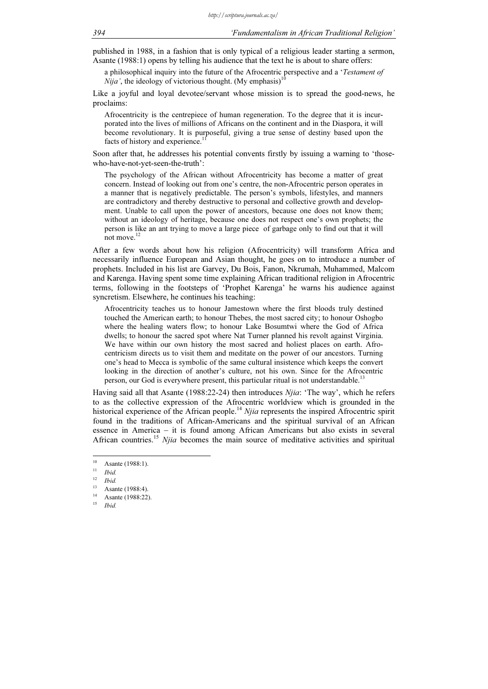published in 1988, in a fashion that is only typical of a religious leader starting a sermon, Asante (1988:1) opens by telling his audience that the text he is about to share offers:

a philosophical inquiry into the future of the Afrocentric perspective and a 'Testament of  $Nija'$ , the ideology of victorious thought. (My emphasis)

Like a joyful and loyal devotee/servant whose mission is to spread the good-news, he proclaims:

Afrocentricity is the centrepiece of human regeneration. To the degree that it is incurporated into the lives of millions of Africans on the continent and in the Diaspora, it will become revolutionary. It is purposeful, giving a true sense of destiny based upon the facts of history and experience.<sup>11</sup>

Soon after that, he addresses his potential convents firstly by issuing a warning to 'thosewho-have-not-yet-seen-the-truth':

The psychology of the African without Afrocentricity has become a matter of great concern. Instead of looking out from one's centre, the non-Afrocentric person operates in a manner that is negatively predictable. The person's symbols, lifestyles, and manners are contradictory and thereby destructive to personal and collective growth and development. Unable to call upon the power of ancestors, because one does not know them; without an ideology of heritage, because one does not respect one's own prophets; the person is like an ant trying to move a large piece of garbage only to find out that it will not move.<sup>12</sup>

After a few words about how his religion (Afrocentricity) will transform Africa and necessarily influence European and Asian thought, he goes on to introduce a number of prophets. Included in his list are Garvey, Du Bois, Fanon, Nkrumah, Muhammed, Malcom and Karenga. Having spent some time explaining African traditional religion in Afrocentric terms, following in the footsteps of 'Prophet Karenga' he warns his audience against syncretism. Elsewhere, he continues his teaching:

Afrocentricity teaches us to honour Jamestown where the first bloods truly destined touched the American earth; to honour Thebes, the most sacred city; to honour Oshogbo where the healing waters flow; to honour Lake Bosumtwi where the God of Africa dwells; to honour the sacred spot where Nat Turner planned his revolt against Virginia. We have within our own history the most sacred and holiest places on earth. Afrocentricism directs us to visit them and meditate on the power of our ancestors. Turning one's head to Mecca is symbolic of the same cultural insistence which keeps the convert looking in the direction of another's culture, not his own. Since for the Afrocentric person, our God is everywhere present, this particular ritual is not understandable.<sup>13</sup>

Having said all that Asante (1988:22-24) then introduces *Njia*: 'The way', which he refers to as the collective expression of the Afrocentric worldview which is grounded in the historical experience of the African people.<sup>14</sup> Njia represents the inspired Afrocentric spirit found in the traditions of African-Americans and the spiritual survival of an African essence in America – it is found among African Americans but also exists in several African countries.<sup>15</sup> Njia becomes the main source of meditative activities and spiritual

<sup>&</sup>lt;sup>10</sup> Asante (1988:1).

<sup>&</sup>lt;sup>11</sup> *Ibid.* 12 *Ibid.* 13 Asante (1988:4).

<sup>&</sup>lt;sup>14</sup> Asante (1988:22).

<sup>15</sup> Ibid.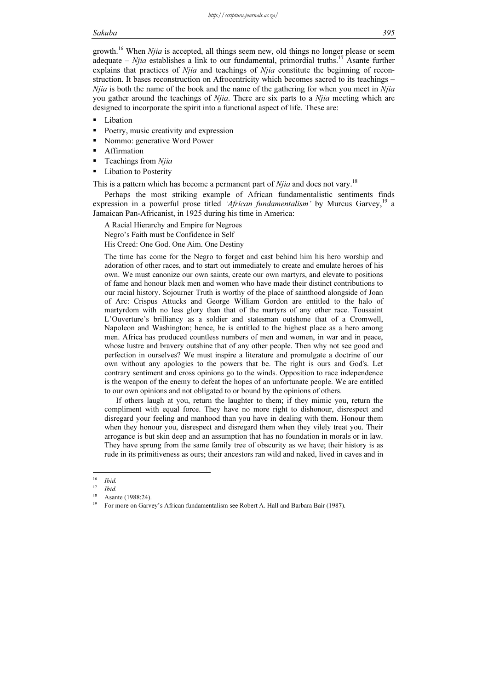growth.<sup>16</sup> When  $Njia$  is accepted, all things seem new, old things no longer please or seem adequate – Njia establishes a link to our fundamental, primordial truths.<sup>17</sup> Asante further explains that practices of Njia and teachings of Njia constitute the beginning of reconstruction. It bases reconstruction on Afrocentricity which becomes sacred to its teachings – Njia is both the name of the book and the name of the gathering for when you meet in Njia you gather around the teachings of *Njia*. There are six parts to a *Njia* meeting which are designed to incorporate the spirit into a functional aspect of life. These are:

- Libation -
- Poetry, music creativity and expression -
- Nommo: generative Word Power -
- Affirmation -
- Teachings from Njia -
- Libation to Posterity

This is a pattern which has become a permanent part of  $Njia$  and does not vary.<sup>18</sup>

Perhaps the most striking example of African fundamentalistic sentiments finds expression in a powerful prose titled *'African fundamentalism'* by Murcus Garvey,<sup>19</sup> a Jamaican Pan-Africanist, in 1925 during his time in America:

A Racial Hierarchy and Empire for Negroes Negro's Faith must be Confidence in Self His Creed: One God. One Aim. One Destiny

The time has come for the Negro to forget and cast behind him his hero worship and adoration of other races, and to start out immediately to create and emulate heroes of his own. We must canonize our own saints, create our own martyrs, and elevate to positions of fame and honour black men and women who have made their distinct contributions to our racial history. Sojourner Truth is worthy of the place of sainthood alongside of Joan of Arc: Crispus Attucks and George William Gordon are entitled to the halo of martyrdom with no less glory than that of the martyrs of any other race. Toussaint L'Ouverture's brilliancy as a soldier and statesman outshone that of a Cromwell, Napoleon and Washington; hence, he is entitled to the highest place as a hero among men. Africa has produced countless numbers of men and women, in war and in peace, whose lustre and bravery outshine that of any other people. Then why not see good and perfection in ourselves? We must inspire a literature and promulgate a doctrine of our own without any apologies to the powers that be. The right is ours and God's. Let contrary sentiment and cross opinions go to the winds. Opposition to race independence is the weapon of the enemy to defeat the hopes of an unfortunate people. We are entitled to our own opinions and not obligated to or bound by the opinions of others.

If others laugh at you, return the laughter to them; if they mimic you, return the compliment with equal force. They have no more right to dishonour, disrespect and disregard your feeling and manhood than you have in dealing with them. Honour them when they honour you, disrespect and disregard them when they vilely treat you. Their arrogance is but skin deep and an assumption that has no foundation in morals or in law. They have sprung from the same family tree of obscurity as we have; their history is as rude in its primitiveness as ours; their ancestors ran wild and naked, lived in caves and in

<sup>&</sup>lt;sup>16</sup> *Ibid.*<br><sup>17</sup> *Ibid.*<br><sup>18</sup> Asante (1988:24).

<sup>19</sup> For more on Garvey's African fundamentalism see Robert A. Hall and Barbara Bair (1987).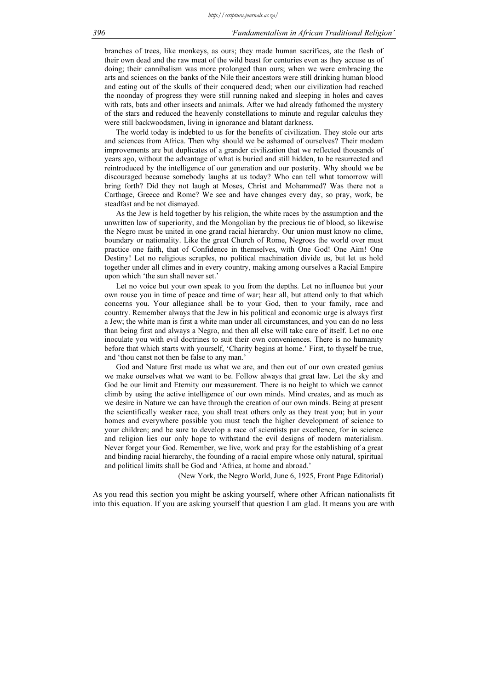branches of trees, like monkeys, as ours; they made human sacrifices, ate the flesh of their own dead and the raw meat of the wild beast for centuries even as they accuse us of doing; their cannibalism was more prolonged than ours; when we were embracing the arts and sciences on the banks of the Nile their ancestors were still drinking human blood and eating out of the skulls of their conquered dead; when our civilization had reached the noonday of progress they were still running naked and sleeping in holes and caves with rats, bats and other insects and animals. After we had already fathomed the mystery of the stars and reduced the heavenly constellations to minute and regular calculus they were still backwoodsmen, living in ignorance and blatant darkness.

The world today is indebted to us for the benefits of civilization. They stole our arts and sciences from Africa. Then why should we be ashamed of ourselves? Their modem improvements are but duplicates of a grander civilization that we reflected thousands of years ago, without the advantage of what is buried and still hidden, to be resurrected and reintroduced by the intelligence of our generation and our posterity. Why should we be discouraged because somebody laughs at us today? Who can tell what tomorrow will bring forth? Did they not laugh at Moses, Christ and Mohammed? Was there not a Carthage, Greece and Rome? We see and have changes every day, so pray, work, be steadfast and be not dismayed.

As the Jew is held together by his religion, the white races by the assumption and the unwritten law of superiority, and the Mongolian by the precious tie of blood, so likewise the Negro must be united in one grand racial hierarchy. Our union must know no clime, boundary or nationality. Like the great Church of Rome, Negroes the world over must practice one faith, that of Confidence in themselves, with One God! One Aim! One Destiny! Let no religious scruples, no political machination divide us, but let us hold together under all climes and in every country, making among ourselves a Racial Empire upon which 'the sun shall never set.'

Let no voice but your own speak to you from the depths. Let no influence but your own rouse you in time of peace and time of war; hear all, but attend only to that which concerns you. Your allegiance shall be to your God, then to your family, race and country. Remember always that the Jew in his political and economic urge is always first a Jew; the white man is first a white man under all circumstances, and you can do no less than being first and always a Negro, and then all else will take care of itself. Let no one inoculate you with evil doctrines to suit their own conveniences. There is no humanity before that which starts with yourself, 'Charity begins at home.' First, to thyself be true, and 'thou canst not then be false to any man.'

God and Nature first made us what we are, and then out of our own created genius we make ourselves what we want to be. Follow always that great law. Let the sky and God be our limit and Eternity our measurement. There is no height to which we cannot climb by using the active intelligence of our own minds. Mind creates, and as much as we desire in Nature we can have through the creation of our own minds. Being at present the scientifically weaker race, you shall treat others only as they treat you; but in your homes and everywhere possible you must teach the higher development of science to your children; and be sure to develop a race of scientists par excellence, for in science and religion lies our only hope to withstand the evil designs of modern materialism. Never forget your God. Remember, we live, work and pray for the establishing of a great and binding racial hierarchy, the founding of a racial empire whose only natural, spiritual and political limits shall be God and 'Africa, at home and abroad.'

(New York, the Negro World, June 6, 1925, Front Page Editorial)

As you read this section you might be asking yourself, where other African nationalists fit into this equation. If you are asking yourself that question I am glad. It means you are with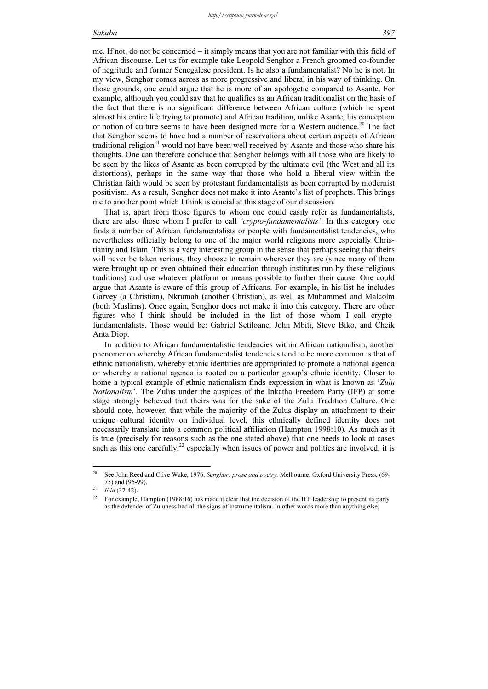me. If not, do not be concerned – it simply means that you are not familiar with this field of African discourse. Let us for example take Leopold Senghor a French groomed co-founder of negritude and former Senegalese president. Is he also a fundamentalist? No he is not. In my view, Senghor comes across as more progressive and liberal in his way of thinking. On those grounds, one could argue that he is more of an apologetic compared to Asante. For example, although you could say that he qualifies as an African traditionalist on the basis of the fact that there is no significant difference between African culture (which he spent almost his entire life trying to promote) and African tradition, unlike Asante, his conception or notion of culture seems to have been designed more for a Western audience.<sup>20</sup> The fact that Senghor seems to have had a number of reservations about certain aspects of African traditional religion<sup>21</sup> would not have been well received by Asante and those who share his thoughts. One can therefore conclude that Senghor belongs with all those who are likely to be seen by the likes of Asante as been corrupted by the ultimate evil (the West and all its distortions), perhaps in the same way that those who hold a liberal view within the Christian faith would be seen by protestant fundamentalists as been corrupted by modernist positivism. As a result, Senghor does not make it into Asante's list of prophets. This brings me to another point which I think is crucial at this stage of our discussion.

That is, apart from those figures to whom one could easily refer as fundamentalists, there are also those whom I prefer to call 'crypto-fundamentalists'. In this category one finds a number of African fundamentalists or people with fundamentalist tendencies, who nevertheless officially belong to one of the major world religions more especially Christianity and Islam. This is a very interesting group in the sense that perhaps seeing that theirs will never be taken serious, they choose to remain wherever they are (since many of them were brought up or even obtained their education through institutes run by these religious traditions) and use whatever platform or means possible to further their cause. One could argue that Asante is aware of this group of Africans. For example, in his list he includes Garvey (a Christian), Nkrumah (another Christian), as well as Muhammed and Malcolm (both Muslims). Once again, Senghor does not make it into this category. There are other figures who I think should be included in the list of those whom I call cryptofundamentalists. Those would be: Gabriel Setiloane, John Mbiti, Steve Biko, and Cheik Anta Diop.

In addition to African fundamentalistic tendencies within African nationalism, another phenomenon whereby African fundamentalist tendencies tend to be more common is that of ethnic nationalism, whereby ethnic identities are appropriated to promote a national agenda or whereby a national agenda is rooted on a particular group's ethnic identity. Closer to home a typical example of ethnic nationalism finds expression in what is known as 'Zulu Nationalism'. The Zulus under the auspices of the Inkatha Freedom Party (IFP) at some stage strongly believed that theirs was for the sake of the Zulu Tradition Culture. One should note, however, that while the majority of the Zulus display an attachment to their unique cultural identity on individual level, this ethnically defined identity does not necessarily translate into a common political affiliation (Hampton 1998:10). As much as it is true (precisely for reasons such as the one stated above) that one needs to look at cases such as this one carefully,<sup>22</sup> especially when issues of power and politics are involved, it is

See John Reed and Clive Wake, 1976. Senghor: prose and poetry. Melbourne: Oxford University Press, (69-75) and (96-99).<br><sup>21</sup> *Ibid* (37-42).

<sup>22</sup> For example, Hampton (1988:16) has made it clear that the decision of the IFP leadership to present its party as the defender of Zuluness had all the signs of instrumentalism. In other words more than anything else,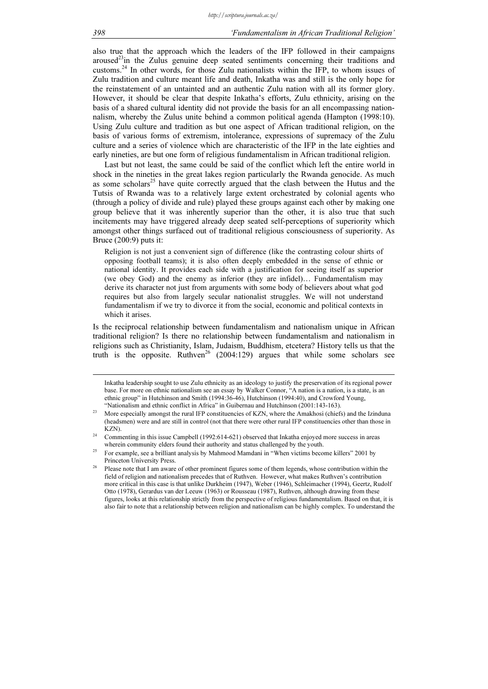also true that the approach which the leaders of the IFP followed in their campaigns aroused<sup>23</sup>in the Zulus genuine deep seated sentiments concerning their traditions and customs.<sup>24</sup> In other words, for those Zulu nationalists within the IFP, to whom issues of Zulu tradition and culture meant life and death, Inkatha was and still is the only hope for the reinstatement of an untainted and an authentic Zulu nation with all its former glory. However, it should be clear that despite Inkatha's efforts, Zulu ethnicity, arising on the basis of a shared cultural identity did not provide the basis for an all encompassing nationnalism, whereby the Zulus unite behind a common political agenda (Hampton (1998:10). Using Zulu culture and tradition as but one aspect of African traditional religion, on the basis of various forms of extremism, intolerance, expressions of supremacy of the Zulu culture and a series of violence which are characteristic of the IFP in the late eighties and early nineties, are but one form of religious fundamentalism in African traditional religion.

Last but not least, the same could be said of the conflict which left the entire world in shock in the nineties in the great lakes region particularly the Rwanda genocide. As much as some scholars<sup>25</sup> have quite correctly argued that the clash between the Hutus and the Tutsis of Rwanda was to a relatively large extent orchestrated by colonial agents who (through a policy of divide and rule) played these groups against each other by making one group believe that it was inherently superior than the other, it is also true that such incitements may have triggered already deep seated self-perceptions of superiority which amongst other things surfaced out of traditional religious consciousness of superiority. As Bruce (200:9) puts it:

Religion is not just a convenient sign of difference (like the contrasting colour shirts of opposing football teams); it is also often deeply embedded in the sense of ethnic or national identity. It provides each side with a justification for seeing itself as superior (we obey God) and the enemy as inferior (they are infidel)… Fundamentalism may derive its character not just from arguments with some body of believers about what god requires but also from largely secular nationalist struggles. We will not understand fundamentalism if we try to divorce it from the social, economic and political contexts in which it arises.

Is the reciprocal relationship between fundamentalism and nationalism unique in African traditional religion? Is there no relationship between fundamentalism and nationalism in religions such as Christianity, Islam, Judaism, Buddhism, etcetera? History tells us that the truth is the opposite. Ruthven<sup>26</sup> (2004:129) argues that while some scholars see

Inkatha leadership sought to use Zulu ethnicity as an ideology to justify the preservation of its regional power base. For more on ethnic nationalism see an essay by Walker Connor, "A nation is a nation, is a state, is an ethnic group" in Hutchinson and Smith (1994:36-46), Hutchinson (1994:40), and Crowford Young, "Nationalism and ethnic conflict in Africa" in Guibernau and Hutchinson (2001:143-163).

<sup>&</sup>lt;sup>23</sup> More especially amongst the rural IFP constituencies of KZN, where the Amakhosi (chiefs) and the Izinduna (headsmen) were and are still in control (not that there were other rural IFP constituencies other than those in KZN).

<sup>&</sup>lt;sup>24</sup> Commenting in this issue Campbell (1992:614-621) observed that Inkatha enjoyed more success in areas wherein community elders found their authority and status challenged by the youth.

<sup>&</sup>lt;sup>25</sup> For example, see a brilliant analysis by Mahmood Mamdani in "When victims become killers" 2001 by Princeton University Press.

<sup>&</sup>lt;sup>26</sup> Please note that I am aware of other prominent figures some of them legends, whose contribution within the field of religion and nationalism precedes that of Ruthven. However, what makes Ruthven's contribution more critical in this case is that unlike Durkheim (1947), Weber (1946), Schleimacher (1994), Geertz, Rudolf Otto (1978), Gerardus van der Leeuw (1963) or Rousseau (1987), Ruthven, although drawing from these figures, looks at this relationship strictly from the perspective of religious fundamentalism. Based on that, it is also fair to note that a relationship between religion and nationalism can be highly complex. To understand the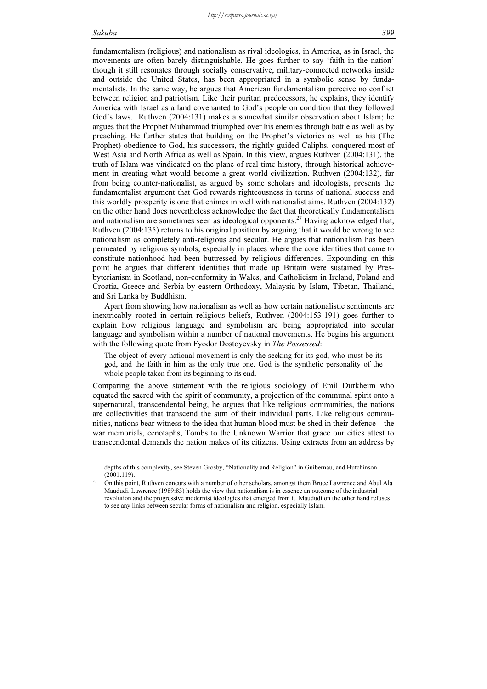fundamentalism (religious) and nationalism as rival ideologies, in America, as in Israel, the movements are often barely distinguishable. He goes further to say 'faith in the nation' though it still resonates through socially conservative, military-connected networks inside and outside the United States, has been appropriated in a symbolic sense by fundamentalists. In the same way, he argues that American fundamentalism perceive no conflict between religion and patriotism. Like their puritan predecessors, he explains, they identify America with Israel as a land covenanted to God's people on condition that they followed God's laws. Ruthven (2004:131) makes a somewhat similar observation about Islam; he argues that the Prophet Muhammad triumphed over his enemies through battle as well as by preaching. He further states that building on the Prophet's victories as well as his (The Prophet) obedience to God, his successors, the rightly guided Caliphs, conquered most of West Asia and North Africa as well as Spain. In this view, argues Ruthven (2004:131), the truth of Islam was vindicated on the plane of real time history, through historical achievement in creating what would become a great world civilization. Ruthven (2004:132), far from being counter-nationalist, as argued by some scholars and ideologists, presents the fundamentalist argument that God rewards righteousness in terms of national success and this worldly prosperity is one that chimes in well with nationalist aims. Ruthven (2004:132) on the other hand does nevertheless acknowledge the fact that theoretically fundamentalism and nationalism are sometimes seen as ideological opponents.<sup>27</sup> Having acknowledged that, Ruthven (2004:135) returns to his original position by arguing that it would be wrong to see nationalism as completely anti-religious and secular. He argues that nationalism has been permeated by religious symbols, especially in places where the core identities that came to constitute nationhood had been buttressed by religious differences. Expounding on this point he argues that different identities that made up Britain were sustained by Presbyterianism in Scotland, non-conformity in Wales, and Catholicism in Ireland, Poland and Croatia, Greece and Serbia by eastern Orthodoxy, Malaysia by Islam, Tibetan, Thailand, and Sri Lanka by Buddhism.

Apart from showing how nationalism as well as how certain nationalistic sentiments are inextricably rooted in certain religious beliefs, Ruthven (2004:153-191) goes further to explain how religious language and symbolism are being appropriated into secular language and symbolism within a number of national movements. He begins his argument with the following quote from Fyodor Dostoyevsky in The Possessed:

The object of every national movement is only the seeking for its god, who must be its god, and the faith in him as the only true one. God is the synthetic personality of the whole people taken from its beginning to its end.

Comparing the above statement with the religious sociology of Emil Durkheim who equated the sacred with the spirit of community, a projection of the communal spirit onto a supernatural, transcendental being, he argues that like religious communities, the nations are collectivities that transcend the sum of their individual parts. Like religious communities, nations bear witness to the idea that human blood must be shed in their defence – the war memorials, cenotaphs, Tombs to the Unknown Warrior that grace our cities attest to transcendental demands the nation makes of its citizens. Using extracts from an address by

depths of this complexity, see Steven Grosby, "Nationality and Religion" in Guibernau, and Hutchinson (2001:119).

On this point, Ruthven concurs with a number of other scholars, amongst them Bruce Lawrence and Abul Ala Maududi. Lawrence (1989:83) holds the view that nationalism is in essence an outcome of the industrial revolution and the progressive modernist ideologies that emerged from it. Maududi on the other hand refuses to see any links between secular forms of nationalism and religion, especially Islam.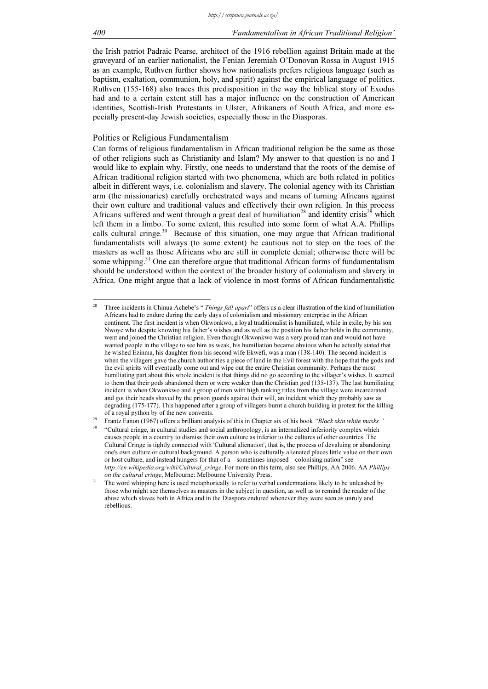the Irish patriot Padraic Pearse, architect of the 1916 rebellion against Britain made at the graveyard of an earlier nationalist, the Fenian Jeremiah O'Donovan Rossa in August 1915 as an example, Ruthven further shows how nationalists prefers religious language (such as baptism, exaltation, communion, holy, and spirit) against the empirical language of politics. Ruthven (155-168) also traces this predisposition in the way the biblical story of Exodus had and to a certain extent still has a major influence on the construction of American identities, Scottish-Irish Protestants in Ulster, Afrikaners of South Africa, and more especially present-day Jewish societies, especially those in the Diasporas.

#### Politics or Religious Fundamentalism

Can forms of religious fundamentalism in African traditional religion be the same as those of other religions such as Christianity and Islam? My answer to that question is no and I would like to explain why. Firstly, one needs to understand that the roots of the demise of African traditional religion started with two phenomena, which are both related in politics albeit in different ways, i.e. colonialism and slavery. The colonial agency with its Christian arm (the missionaries) carefully orchestrated ways and means of turning Africans against their own culture and traditional values and effectively their own religion. In this process Africans suffered and went through a great deal of humiliation<sup>28</sup> and identity crisis<sup>29</sup> which left them in a limbo. To some extent, this resulted into some form of what A.A. Phillips calls cultural cringe.<sup>30</sup> Because of this situation, one may argue that African traditional fundamentalists will always (to some extent) be cautious not to step on the toes of the masters as well as those Africans who are still in complete denial; otherwise there will be some whipping.<sup>31</sup> One can therefore argue that traditional African forms of fundamentalism should be understood within the context of the broader history of colonialism and slavery in Africa. One might argue that a lack of violence in most forms of African fundamentalistic

<sup>&</sup>lt;sup>28</sup> Three incidents in Chinua Achebe's "*Things fall apart*" offers us a clear illustration of the kind of humiliation Africans had to endure during the early days of colonialism and missionary enterprise in the African continent. The first incident is when Okwonkwo, a loyal traditionalist is humiliated, while in exile, by his son Nwoye who despite knowing his father's wishes and as well as the position his father holds in the community, went and joined the Christian religion. Even though Okwonkwo was a very proud man and would not have wanted people in the village to see him as weak, his humiliation became obvious when he actually stated that he wished Ezinma, his daughter from his second wife Ekwefi, was a man (138-140). The second incident is when the villagers gave the church authorities a piece of land in the Evil forest with the hope that the gods and the evil spirits will eventually come out and wipe out the entire Christian community. Perhaps the most humiliating part about this whole incident is that things did no go according to the villager's wishes. It seemed to them that their gods abandoned them or were weaker than the Christian god (135-137). The last humiliating incident is when Okwonkwo and a group of men with high ranking titles from the village were incarcerated and got their heads shaved by the prison guards against their will, an incident which they probably saw as degrading (175-177). This happened after a group of villagers burnt a church building in protest for the killing of a royal python by of the new convents.

<sup>&</sup>lt;sup>29</sup> Frantz Fanon (1967) offers a brilliant analysis of this in Chapter six of his book "Black skin white masks."

<sup>30</sup> "Cultural cringe, in cultural studies and social anthropology, is an internalized inferiority complex which causes people in a country to dismiss their own culture as inferior to the cultures of other countries. The Cultural Cringe is tightly connected with 'Cultural alienation', that is, the process of devaluing or abandoning one's own culture or cultural background. A person who is culturally alienated places little value on their own or host culture, and instead hungers for that of a – sometimes imposed – colonising nation" see http://en.wikipedia.org/wiki/Cultural\_cringe. For more on this term, also see Phillips, AA 2006. AA Phillips on the cultural cringe, Melbourne: Melbourne University Press.

<sup>&</sup>lt;sup>31</sup> The word whipping here is used metaphorically to refer to verbal condemnations likely to be unleashed by those who might see themselves as masters in the subject in question, as well as to remind the reader of the abuse which slaves both in Africa and in the Diaspora endured whenever they were seen as unruly and rebellious.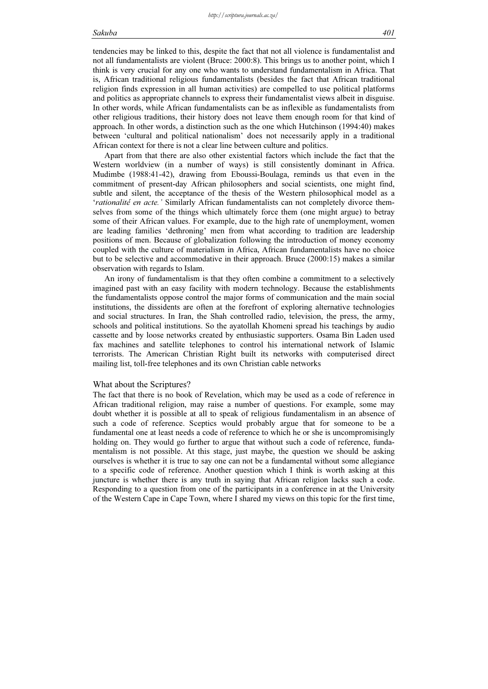tendencies may be linked to this, despite the fact that not all violence is fundamentalist and not all fundamentalists are violent (Bruce: 2000:8). This brings us to another point, which I think is very crucial for any one who wants to understand fundamentalism in Africa. That is, African traditional religious fundamentalists (besides the fact that African traditional religion finds expression in all human activities) are compelled to use political platforms and politics as appropriate channels to express their fundamentalist views albeit in disguise. In other words, while African fundamentalists can be as inflexible as fundamentalists from other religious traditions, their history does not leave them enough room for that kind of approach. In other words, a distinction such as the one which Hutchinson (1994:40) makes between 'cultural and political nationalism' does not necessarily apply in a traditional African context for there is not a clear line between culture and politics.

Apart from that there are also other existential factors which include the fact that the Western worldview (in a number of ways) is still consistently dominant in Africa. Mudimbe (1988:41-42), drawing from Eboussi-Boulaga, reminds us that even in the commitment of present-day African philosophers and social scientists, one might find, subtle and silent, the acceptance of the thesis of the Western philosophical model as a 'rationalité en acte.' Similarly African fundamentalists can not completely divorce themselves from some of the things which ultimately force them (one might argue) to betray some of their African values. For example, due to the high rate of unemployment, women are leading families 'dethroning' men from what according to tradition are leadership positions of men. Because of globalization following the introduction of money economy coupled with the culture of materialism in Africa, African fundamentalists have no choice but to be selective and accommodative in their approach. Bruce (2000:15) makes a similar observation with regards to Islam.

An irony of fundamentalism is that they often combine a commitment to a selectively imagined past with an easy facility with modern technology. Because the establishments the fundamentalists oppose control the major forms of communication and the main social institutions, the dissidents are often at the forefront of exploring alternative technologies and social structures. In Iran, the Shah controlled radio, television, the press, the army, schools and political institutions. So the ayatollah Khomeni spread his teachings by audio cassette and by loose networks created by enthusiastic supporters. Osama Bin Laden used fax machines and satellite telephones to control his international network of Islamic terrorists. The American Christian Right built its networks with computerised direct mailing list, toll-free telephones and its own Christian cable networks

#### What about the Scriptures?

The fact that there is no book of Revelation, which may be used as a code of reference in African traditional religion, may raise a number of questions. For example, some may doubt whether it is possible at all to speak of religious fundamentalism in an absence of such a code of reference. Sceptics would probably argue that for someone to be a fundamental one at least needs a code of reference to which he or she is uncompromisingly holding on. They would go further to argue that without such a code of reference, fundamentalism is not possible. At this stage, just maybe, the question we should be asking ourselves is whether it is true to say one can not be a fundamental without some allegiance to a specific code of reference. Another question which I think is worth asking at this juncture is whether there is any truth in saying that African religion lacks such a code. Responding to a question from one of the participants in a conference in at the University of the Western Cape in Cape Town, where I shared my views on this topic for the first time,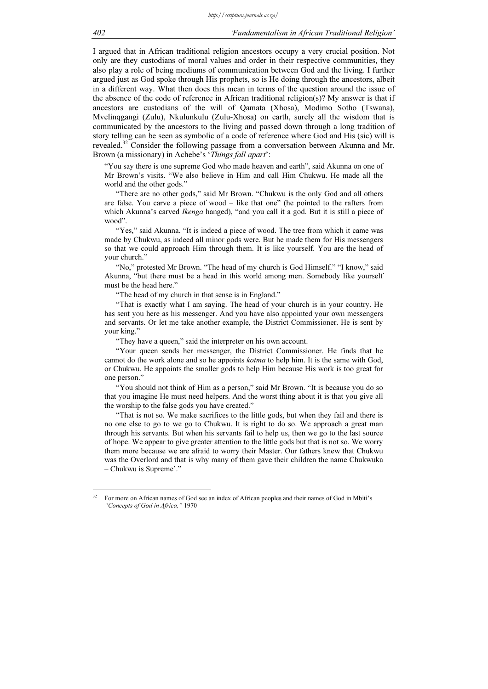I argued that in African traditional religion ancestors occupy a very crucial position. Not only are they custodians of moral values and order in their respective communities, they also play a role of being mediums of communication between God and the living. I further argued just as God spoke through His prophets, so is He doing through the ancestors, albeit in a different way. What then does this mean in terms of the question around the issue of the absence of the code of reference in African traditional religion(s)? My answer is that if ancestors are custodians of the will of Qamata (Xhosa), Modimo Sotho (Tswana), Mvelinqgangi (Zulu), Nkulunkulu (Zulu-Xhosa) on earth, surely all the wisdom that is communicated by the ancestors to the living and passed down through a long tradition of story telling can be seen as symbolic of a code of reference where God and His (sic) will is revealed.<sup>32</sup> Consider the following passage from a conversation between Akunna and Mr. Brown (a missionary) in Achebe's 'Things fall apart':

"You say there is one supreme God who made heaven and earth", said Akunna on one of Mr Brown's visits. "We also believe in Him and call Him Chukwu. He made all the world and the other gods."

"There are no other gods," said Mr Brown. "Chukwu is the only God and all others are false. You carve a piece of wood – like that one" (he pointed to the rafters from which Akunna's carved *Ikenga* hanged), "and you call it a god. But it is still a piece of wood".

"Yes," said Akunna. "It is indeed a piece of wood. The tree from which it came was made by Chukwu, as indeed all minor gods were. But he made them for His messengers so that we could approach Him through them. It is like yourself. You are the head of your church."

"No," protested Mr Brown. "The head of my church is God Himself." "I know," said Akunna, "but there must be a head in this world among men. Somebody like yourself must be the head here."

"The head of my church in that sense is in England."

"That is exactly what I am saying. The head of your church is in your country. He has sent you here as his messenger. And you have also appointed your own messengers and servants. Or let me take another example, the District Commissioner. He is sent by your king."

"They have a queen," said the interpreter on his own account.

"Your queen sends her messenger, the District Commissioner. He finds that he cannot do the work alone and so he appoints *kotma* to help him. It is the same with God, or Chukwu. He appoints the smaller gods to help Him because His work is too great for one person."

"You should not think of Him as a person," said Mr Brown. "It is because you do so that you imagine He must need helpers. And the worst thing about it is that you give all the worship to the false gods you have created."

"That is not so. We make sacrifices to the little gods, but when they fail and there is no one else to go to we go to Chukwu. It is right to do so. We approach a great man through his servants. But when his servants fail to help us, then we go to the last source of hope. We appear to give greater attention to the little gods but that is not so. We worry them more because we are afraid to worry their Master. Our fathers knew that Chukwu was the Overlord and that is why many of them gave their children the name Chukwuka – Chukwu is Supreme'."

<sup>32</sup> For more on African names of God see an index of African peoples and their names of God in Mbiti's "Concepts of God in Africa," 1970